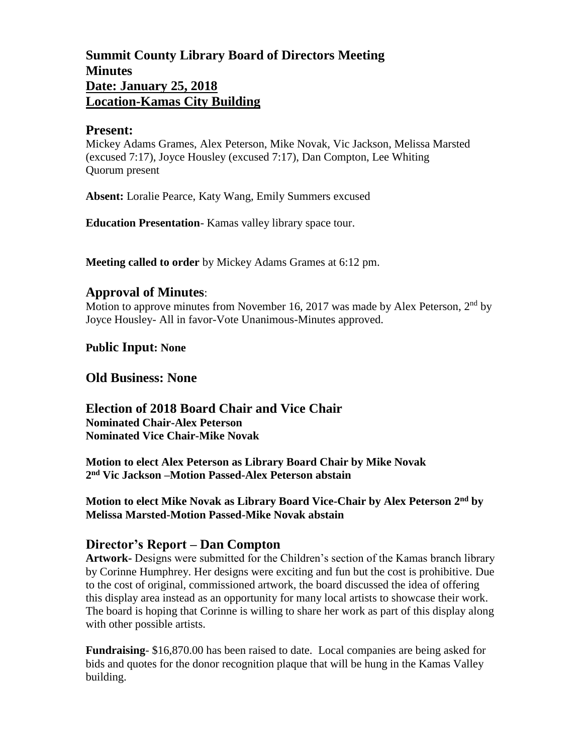# **Summit County Library Board of Directors Meeting Minutes Date: January 25, 2018 Location-Kamas City Building**

### **Present:**

Mickey Adams Grames, Alex Peterson, Mike Novak, Vic Jackson, Melissa Marsted (excused 7:17), Joyce Housley (excused 7:17), Dan Compton, Lee Whiting Quorum present

**Absent:** Loralie Pearce, Katy Wang, Emily Summers excused

**Education Presentation**- Kamas valley library space tour.

**Meeting called to order** by Mickey Adams Grames at 6:12 pm.

## **Approval of Minutes**:

Motion to approve minutes from November 16, 2017 was made by Alex Peterson,  $2<sup>nd</sup>$  by Joyce Housley- All in favor-Vote Unanimous-Minutes approved.

**Public Input: None**

**Old Business: None**

### **Election of 2018 Board Chair and Vice Chair Nominated Chair-Alex Peterson**

**Nominated Vice Chair-Mike Novak**

**Motion to elect Alex Peterson as Library Board Chair by Mike Novak 2 nd Vic Jackson –Motion Passed-Alex Peterson abstain**

**Motion to elect Mike Novak as Library Board Vice-Chair by Alex Peterson 2nd by Melissa Marsted-Motion Passed-Mike Novak abstain**

## **Director's Report – Dan Compton**

**Artwork-** Designs were submitted for the Children's section of the Kamas branch library by Corinne Humphrey. Her designs were exciting and fun but the cost is prohibitive. Due to the cost of original, commissioned artwork, the board discussed the idea of offering this display area instead as an opportunity for many local artists to showcase their work. The board is hoping that Corinne is willing to share her work as part of this display along with other possible artists.

**Fundraising**- \$16,870.00 has been raised to date. Local companies are being asked for bids and quotes for the donor recognition plaque that will be hung in the Kamas Valley building.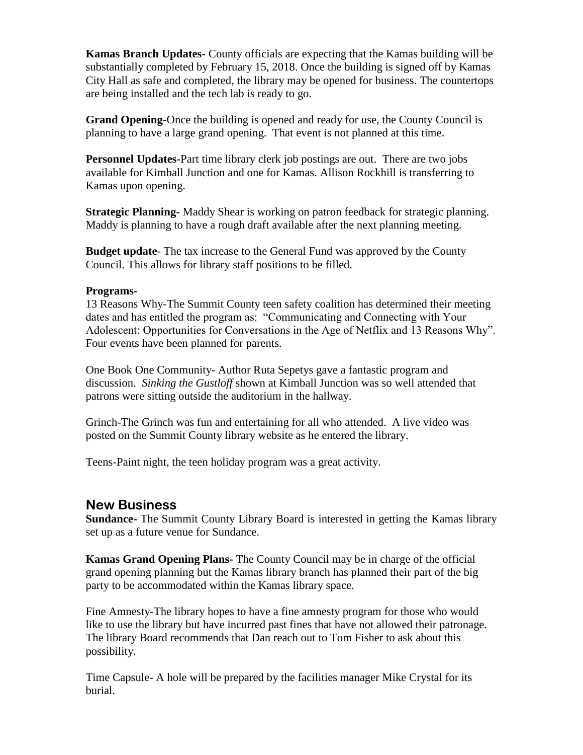**Kamas Branch Updates-** County officials are expecting that the Kamas building will be substantially completed by February 15, 2018. Once the building is signed off by Kamas City Hall as safe and completed, the library may be opened for business. The countertops are being installed and the tech lab is ready to go.

**Grand Opening-**Once the building is opened and ready for use, the County Council is planning to have a large grand opening. That event is not planned at this time.

**Personnel Updates-**Part time library clerk job postings are out. There are two jobs available for Kimball Junction and one for Kamas. Allison Rockhill is transferring to Kamas upon opening.

**Strategic Planning-** Maddy Shear is working on patron feedback for strategic planning. Maddy is planning to have a rough draft available after the next planning meeting.

**Budget update**- The tax increase to the General Fund was approved by the County Council. This allows for library staff positions to be filled.

#### **Programs-**

13 Reasons Why-The Summit County teen safety coalition has determined their meeting dates and has entitled the program as: "Communicating and Connecting with Your Adolescent: Opportunities for Conversations in the Age of Netflix and 13 Reasons Why". Four events have been planned for parents.

One Book One Community- Author Ruta Sepetys gave a fantastic program and discussion. *Sinking the Gustloff* shown at Kimball Junction was so well attended that patrons were sitting outside the auditorium in the hallway.

Grinch-The Grinch was fun and entertaining for all who attended. A live video was posted on the Summit County library website as he entered the library.

Teens-Paint night, the teen holiday program was a great activity.

### **New Business**

**Sundance-** The Summit County Library Board is interested in getting the Kamas library set up as a future venue for Sundance.

**Kamas Grand Opening Plans-** The County Council may be in charge of the official grand opening planning but the Kamas library branch has planned their part of the big party to be accommodated within the Kamas library space.

Fine Amnesty-The library hopes to have a fine amnesty program for those who would like to use the library but have incurred past fines that have not allowed their patronage. The library Board recommends that Dan reach out to Tom Fisher to ask about this possibility.

Time Capsule- A hole will be prepared by the facilities manager Mike Crystal for its burial.